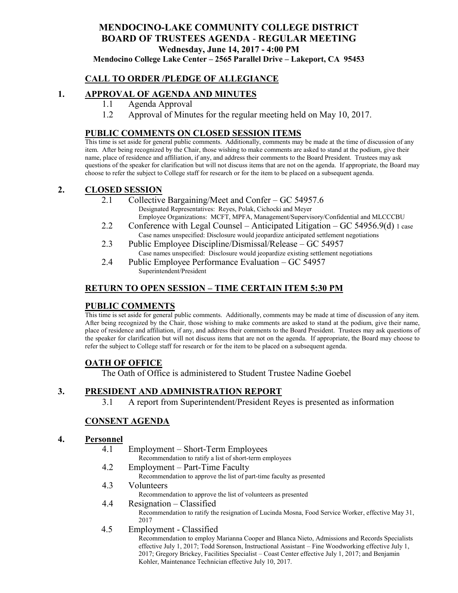# **MENDOCINO-LAKE COMMUNITY COLLEGE DISTRICT BOARD OF TRUSTEES AGENDA** - **REGULAR MEETING Wednesday, June 14, 2017 - 4:00 PM**

**Mendocino College Lake Center – 2565 Parallel Drive – Lakeport, CA 95453**

### **CALL TO ORDER /PLEDGE OF ALLEGIANCE**

### **1. APPROVAL OF AGENDA AND MINUTES**

- 1.1 Agenda Approval
- 1.2 Approval of Minutes for the regular meeting held on May 10, 2017.

### **PUBLIC COMMENTS ON CLOSED SESSION ITEMS**

This time is set aside for general public comments. Additionally, comments may be made at the time of discussion of any item. After being recognized by the Chair, those wishing to make comments are asked to stand at the podium, give their name, place of residence and affiliation, if any, and address their comments to the Board President. Trustees may ask questions of the speaker for clarification but will not discuss items that are not on the agenda. If appropriate, the Board may choose to refer the subject to College staff for research or for the item to be placed on a subsequent agenda.

#### **2. CLOSED SESSION**

- 2.1 Collective Bargaining/Meet and Confer GC 54957.6 Designated Representatives: Reyes, Polak, Cichocki and Meyer Employee Organizations: MCFT, MPFA, Management/Supervisory/Confidential and MLCCCBU
- 2.2 Conference with Legal Counsel Anticipated Litigation GC 54956.9(d) 1 case Case names unspecified: Disclosure would jeopardize anticipated settlement negotiations
- 2.3 Public Employee Discipline/Dismissal/Release GC 54957 Case names unspecified: Disclosure would jeopardize existing settlement negotiations
- 2.4 Public Employee Performance Evaluation GC 54957 Superintendent/President

### **RETURN TO OPEN SESSION – TIME CERTAIN ITEM 5:30 PM**

### **PUBLIC COMMENTS**

This time is set aside for general public comments. Additionally, comments may be made at time of discussion of any item. After being recognized by the Chair, those wishing to make comments are asked to stand at the podium, give their name, place of residence and affiliation, if any, and address their comments to the Board President. Trustees may ask questions of the speaker for clarification but will not discuss items that are not on the agenda. If appropriate, the Board may choose to refer the subject to College staff for research or for the item to be placed on a subsequent agenda.

### **OATH OF OFFICE**

The Oath of Office is administered to Student Trustee Nadine Goebel

### **3. PRESIDENT AND ADMINISTRATION REPORT**

3.1 A report from Superintendent/President Reyes is presented as information

### **CONSENT AGENDA**

#### **4. Personnel**

- 4.1 Employment Short-Term Employees
	- Recommendation to ratify a list of short-term employees
- 4.2 Employment Part-Time Faculty
	- Recommendation to approve the list of part-time faculty as presented
- 4.3 Volunteers
	- Recommendation to approve the list of volunteers as presented

### 4.4 Resignation – Classified

Recommendation to ratify the resignation of Lucinda Mosna, Food Service Worker, effective May 31, 2017

4.5 Employment - Classified

Recommendation to employ Marianna Cooper and Blanca Nieto, Admissions and Records Specialists effective July 1, 2017; Todd Sorenson, Instructional Assistant – Fine Woodworking effective July 1, 2017; Gregory Brickey, Facilities Specialist – Coast Center effective July 1, 2017; and Benjamin Kohler, Maintenance Technician effective July 10, 2017.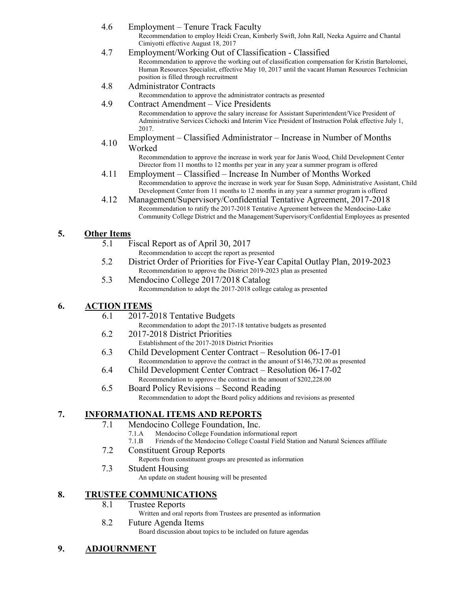- 4.6 Employment Tenure Track Faculty Recommendation to employ Heidi Crean, Kimberly Swift, John Rall, Neeka Aguirre and Chantal Cimiyotti effective August 18, 2017 4.7 Employment/Working Out of Classification - Classified Recommendation to approve the working out of classification compensation for Kristin Bartolomei, Human Resources Specialist, effective May 10, 2017 until the vacant Human Resources Technician position is filled through recruitment
- 4.8 Administrator Contracts

Recommendation to approve the administrator contracts as presented

- 4.9 Contract Amendment Vice Presidents Recommendation to approve the salary increase for Assistant Superintendent/Vice President of Administrative Services Cichocki and Interim Vice President of Instruction Polak effective July 1, 2017.
- 4.10 Employment – Classified Administrator – Increase in Number of Months Worked

Recommendation to approve the increase in work year for Janis Wood, Child Development Center Director from 11 months to 12 months per year in any year a summer program is offered

- 4.11 Employment Classified Increase In Number of Months Worked Recommendation to approve the increase in work year for Susan Sopp, Administrative Assistant, Child Development Center from 11 months to 12 months in any year a summer program is offered
- 4.12 Management/Supervisory/Confidential Tentative Agreement, 2017-2018 Recommendation to ratify the 2017-2018 Tentative Agreement between the Mendocino-Lake Community College District and the Management/Supervisory/Confidential Employees as presented

## **5. Other Items**

- 5.1 Fiscal Report as of April 30, 2017
	- Recommendation to accept the report as presented
- 5.2 District Order of Priorities for Five-Year Capital Outlay Plan, 2019-2023 Recommendation to approve the District 2019-2023 plan as presented
- 5.3 Mendocino College 2017/2018 Catalog Recommendation to adopt the 2017-2018 college catalog as presented

# **6. ACTION ITEMS**

- 6.1 2017-2018 Tentative Budgets Recommendation to adopt the 2017-18 tentative budgets as presented
- 6.2 2017-2018 District Priorities Establishment of the 2017-2018 District Priorities
- 6.3 Child Development Center Contract Resolution 06-17-01 Recommendation to approve the contract in the amount of \$146,732.00 as presented
- 6.4 Child Development Center Contract Resolution 06-17-02 Recommendation to approve the contract in the amount of \$202,228.00
- 6.5 Board Policy Revisions Second Reading Recommendation to adopt the Board policy additions and revisions as presented

# **7. INFORMATIONAL ITEMS AND REPORTS**

- 7.1 Mendocino College Foundation, Inc.
	- 7.1.A Mendocino College Foundation informational report
	- 7.1.B Friends of the Mendocino College Coastal Field Station and Natural Sciences affiliate
- 7.2 Constituent Group Reports

Reports from constituent groups are presented as information

7.3 Student Housing

An update on student housing will be presented

# **8. TRUSTEE COMMUNICATIONS**

8.1 Trustee Reports

Written and oral reports from Trustees are presented as information

### 8.2 Future Agenda Items

Board discussion about topics to be included on future agendas

**9. ADJOURNMENT**